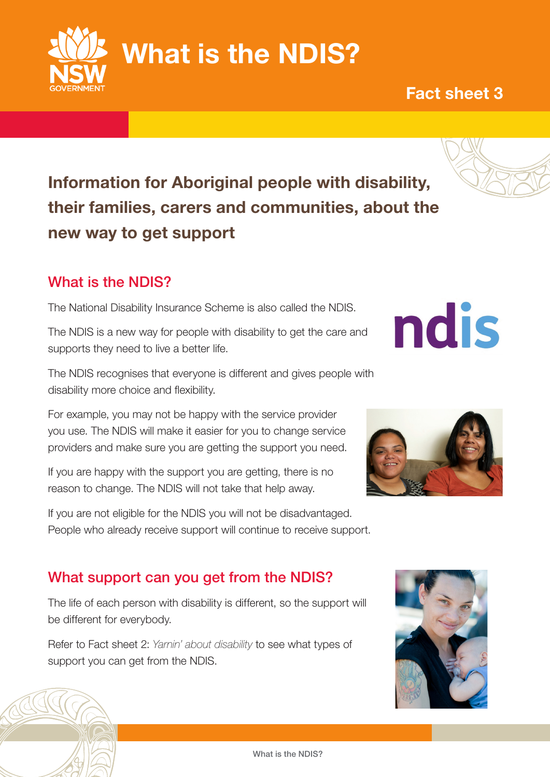Information for Aboriginal people with disability, their families, carers and communities, about the new way to get support

## What is the NDIS?

The National Disability Insurance Scheme is also called the NDIS.

The NDIS is a new way for people with disability to get the care and supports they need to live a better life.

The NDIS recognises that everyone is different and gives people with disability more choice and flexibility.

For example, you may not be happy with the service provider you use. The NDIS will make it easier for you to change service providers and make sure you are getting the support you need.

If you are happy with the support you are getting, there is no reason to change. The NDIS will not take that help away.

If you are not eligible for the NDIS you will not be disadvantaged. People who already receive support will continue to receive support.

## What support can you get from the NDIS?

The life of each person with disability is different, so the support will be different for everybody.

Refer to Fact sheet 2: *Yarnin' about disability* to see what types of support you can get from the NDIS.







ndis